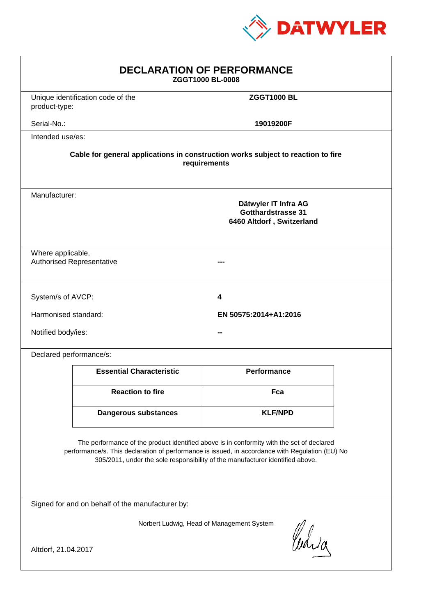

| <b>DECLARATION OF PERFORMANCE</b><br>ZGGT1000 BL-0008                                                                                                                                                                                                                         |                                                                                                 |                    |  |
|-------------------------------------------------------------------------------------------------------------------------------------------------------------------------------------------------------------------------------------------------------------------------------|-------------------------------------------------------------------------------------------------|--------------------|--|
| product-type:                                                                                                                                                                                                                                                                 | Unique identification code of the                                                               | <b>ZGGT1000 BL</b> |  |
| Serial-No.:                                                                                                                                                                                                                                                                   |                                                                                                 | 19019200F          |  |
| Intended use/es:                                                                                                                                                                                                                                                              |                                                                                                 |                    |  |
| Cable for general applications in construction works subject to reaction to fire<br>requirements                                                                                                                                                                              |                                                                                                 |                    |  |
|                                                                                                                                                                                                                                                                               | Manufacturer:<br>Dätwyler IT Infra AG<br><b>Gotthardstrasse 31</b><br>6460 Altdorf, Switzerland |                    |  |
| Where applicable,                                                                                                                                                                                                                                                             | <b>Authorised Representative</b>                                                                |                    |  |
| System/s of AVCP:                                                                                                                                                                                                                                                             |                                                                                                 | 4                  |  |
| Harmonised standard:<br>EN 50575:2014+A1:2016                                                                                                                                                                                                                                 |                                                                                                 |                    |  |
|                                                                                                                                                                                                                                                                               | Notified body/ies:                                                                              |                    |  |
| Declared performance/s:                                                                                                                                                                                                                                                       |                                                                                                 |                    |  |
|                                                                                                                                                                                                                                                                               | <b>Essential Characteristic</b>                                                                 | <b>Performance</b> |  |
|                                                                                                                                                                                                                                                                               | <b>Reaction to fire</b>                                                                         | Fca                |  |
|                                                                                                                                                                                                                                                                               | Dangerous substances                                                                            | <b>KLF/NPD</b>     |  |
| The performance of the product identified above is in conformity with the set of declared<br>performance/s. This declaration of performance is issued, in accordance with Regulation (EU) No<br>305/2011, under the sole responsibility of the manufacturer identified above. |                                                                                                 |                    |  |
| Signed for and on behalf of the manufacturer by:                                                                                                                                                                                                                              |                                                                                                 |                    |  |
| Norbert Ludwig, Head of Management System<br>Curia<br>Altdorf, 21.04.2017                                                                                                                                                                                                     |                                                                                                 |                    |  |
|                                                                                                                                                                                                                                                                               |                                                                                                 |                    |  |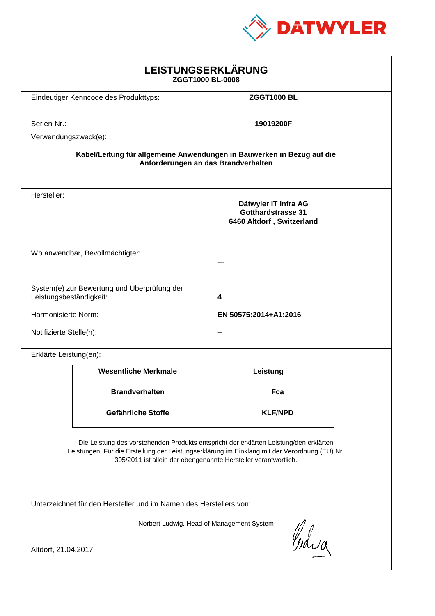

| LEISTUNGSERKLÄRUNG<br>ZGGT1000 BL-0008                                                                                                                                                                                                                     |                                                                         |                       |  |
|------------------------------------------------------------------------------------------------------------------------------------------------------------------------------------------------------------------------------------------------------------|-------------------------------------------------------------------------|-----------------------|--|
|                                                                                                                                                                                                                                                            | Eindeutiger Kenncode des Produkttyps:                                   | <b>ZGGT1000 BL</b>    |  |
| Serien-Nr.:                                                                                                                                                                                                                                                |                                                                         | 19019200F             |  |
| Verwendungszweck(e):                                                                                                                                                                                                                                       |                                                                         |                       |  |
| Kabel/Leitung für allgemeine Anwendungen in Bauwerken in Bezug auf die<br>Anforderungen an das Brandverhalten                                                                                                                                              |                                                                         |                       |  |
| Hersteller:                                                                                                                                                                                                                                                | Dätwyler IT Infra AG<br>Gotthardstrasse 31<br>6460 Altdorf, Switzerland |                       |  |
|                                                                                                                                                                                                                                                            | Wo anwendbar, Bevollmächtigter:                                         |                       |  |
| Leistungsbeständigkeit:                                                                                                                                                                                                                                    | System(e) zur Bewertung und Überprüfung der                             | 4                     |  |
| Harmonisierte Norm:                                                                                                                                                                                                                                        |                                                                         | EN 50575:2014+A1:2016 |  |
| Notifizierte Stelle(n):                                                                                                                                                                                                                                    |                                                                         |                       |  |
| Erklärte Leistung(en):                                                                                                                                                                                                                                     |                                                                         |                       |  |
|                                                                                                                                                                                                                                                            | <b>Wesentliche Merkmale</b>                                             | Leistung              |  |
|                                                                                                                                                                                                                                                            | <b>Brandverhalten</b>                                                   | Fca                   |  |
|                                                                                                                                                                                                                                                            | Gefährliche Stoffe                                                      | <b>KLF/NPD</b>        |  |
| Die Leistung des vorstehenden Produkts entspricht der erklärten Leistung/den erklärten<br>Leistungen. Für die Erstellung der Leistungserklärung im Einklang mit der Verordnung (EU) Nr.<br>305/2011 ist allein der obengenannte Hersteller verantwortlich. |                                                                         |                       |  |
| Unterzeichnet für den Hersteller und im Namen des Herstellers von:                                                                                                                                                                                         |                                                                         |                       |  |
| Norbert Ludwig, Head of Management System<br>Curia<br>Altdorf, 21.04.2017                                                                                                                                                                                  |                                                                         |                       |  |
|                                                                                                                                                                                                                                                            |                                                                         |                       |  |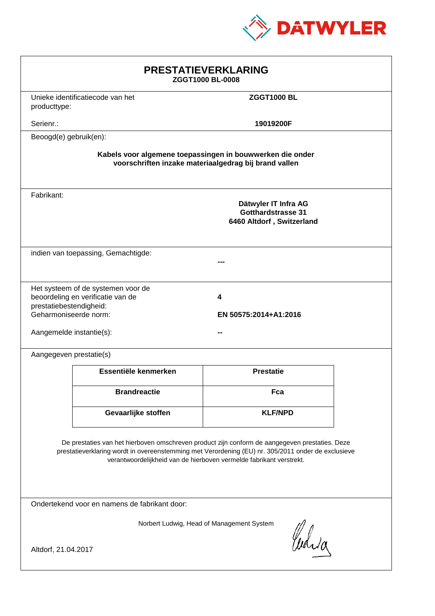

| <b>PRESTATIEVERKLARING</b><br>ZGGT1000 BL-0008                                                                                                                                                                                                                              |  |  |  |
|-----------------------------------------------------------------------------------------------------------------------------------------------------------------------------------------------------------------------------------------------------------------------------|--|--|--|
| <b>ZGGT1000 BL</b>                                                                                                                                                                                                                                                          |  |  |  |
| 19019200F                                                                                                                                                                                                                                                                   |  |  |  |
|                                                                                                                                                                                                                                                                             |  |  |  |
| Kabels voor algemene toepassingen in bouwwerken die onder<br>voorschriften inzake materiaalgedrag bij brand vallen                                                                                                                                                          |  |  |  |
| Dätwyler IT Infra AG<br><b>Gotthardstrasse 31</b><br>6460 Altdorf, Switzerland                                                                                                                                                                                              |  |  |  |
| indien van toepassing, Gemachtigde:                                                                                                                                                                                                                                         |  |  |  |
| Het systeem of de systemen voor de<br>beoordeling en verificatie van de<br>4<br>prestatiebestendigheid:<br>Geharmoniseerde norm:<br>EN 50575:2014+A1:2016<br>Aangemelde instantie(s):                                                                                       |  |  |  |
|                                                                                                                                                                                                                                                                             |  |  |  |
| <b>Prestatie</b>                                                                                                                                                                                                                                                            |  |  |  |
| Fca                                                                                                                                                                                                                                                                         |  |  |  |
| <b>KLF/NPD</b>                                                                                                                                                                                                                                                              |  |  |  |
| De prestaties van het hierboven omschreven product zijn conform de aangegeven prestaties. Deze<br>prestatieverklaring wordt in overeenstemming met Verordening (EU) nr. 305/2011 onder de exclusieve<br>verantwoordelijkheid van de hierboven vermelde fabrikant verstrekt. |  |  |  |
| Ondertekend voor en namens de fabrikant door:                                                                                                                                                                                                                               |  |  |  |
| Norbert Ludwig, Head of Management System<br>Curia<br>Altdorf, 21.04.2017                                                                                                                                                                                                   |  |  |  |
|                                                                                                                                                                                                                                                                             |  |  |  |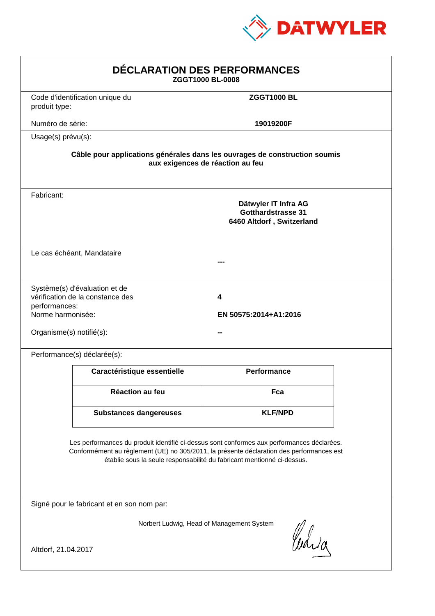

| DÉCLARATION DES PERFORMANCES<br>ZGGT1000 BL-0008                                                                                                                                                                                                                 |                                                                   |                                                                                                                |  |
|------------------------------------------------------------------------------------------------------------------------------------------------------------------------------------------------------------------------------------------------------------------|-------------------------------------------------------------------|----------------------------------------------------------------------------------------------------------------|--|
| produit type:                                                                                                                                                                                                                                                    | Code d'identification unique du                                   | <b>ZGGT1000 BL</b>                                                                                             |  |
| Numéro de série:                                                                                                                                                                                                                                                 |                                                                   | 19019200F                                                                                                      |  |
| Usage(s) prévu(s):                                                                                                                                                                                                                                               |                                                                   |                                                                                                                |  |
|                                                                                                                                                                                                                                                                  |                                                                   | Câble pour applications générales dans les ouvrages de construction soumis<br>aux exigences de réaction au feu |  |
| Fabricant:                                                                                                                                                                                                                                                       |                                                                   | Dätwyler IT Infra AG<br><b>Gotthardstrasse 31</b><br>6460 Altdorf, Switzerland                                 |  |
|                                                                                                                                                                                                                                                                  | Le cas échéant, Mandataire                                        |                                                                                                                |  |
| performances:<br>Norme harmonisée:<br>Organisme(s) notifié(s):                                                                                                                                                                                                   | Système(s) d'évaluation et de<br>vérification de la constance des | 4<br>EN 50575:2014+A1:2016                                                                                     |  |
|                                                                                                                                                                                                                                                                  | Performance(s) déclarée(s):                                       |                                                                                                                |  |
|                                                                                                                                                                                                                                                                  | Caractéristique essentielle                                       | <b>Performance</b>                                                                                             |  |
|                                                                                                                                                                                                                                                                  | Réaction au feu                                                   | Fca                                                                                                            |  |
|                                                                                                                                                                                                                                                                  | <b>Substances dangereuses</b>                                     | <b>KLF/NPD</b>                                                                                                 |  |
| Les performances du produit identifié ci-dessus sont conformes aux performances déclarées.<br>Conformément au règlement (UE) no 305/2011, la présente déclaration des performances est<br>établie sous la seule responsabilité du fabricant mentionné ci-dessus. |                                                                   |                                                                                                                |  |
|                                                                                                                                                                                                                                                                  | Signé pour le fabricant et en son nom par:                        |                                                                                                                |  |
| Altdorf, 21.04.2017                                                                                                                                                                                                                                              |                                                                   | Norbert Ludwig, Head of Management System<br>Curia                                                             |  |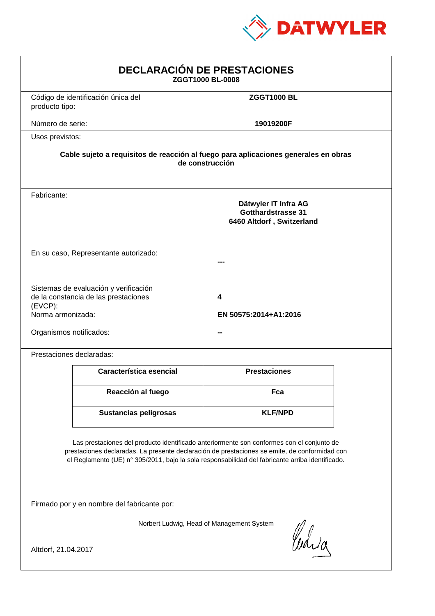

| <b>DECLARACIÓN DE PRESTACIONES</b><br>ZGGT1000 BL-0008                                                                                                                                                                                                                                         |                                                                                                                                                             |                     |  |  |
|------------------------------------------------------------------------------------------------------------------------------------------------------------------------------------------------------------------------------------------------------------------------------------------------|-------------------------------------------------------------------------------------------------------------------------------------------------------------|---------------------|--|--|
| producto tipo:                                                                                                                                                                                                                                                                                 | Código de identificación única del                                                                                                                          | <b>ZGGT1000 BL</b>  |  |  |
| Número de serie:                                                                                                                                                                                                                                                                               |                                                                                                                                                             | 19019200F           |  |  |
| Usos previstos:                                                                                                                                                                                                                                                                                |                                                                                                                                                             |                     |  |  |
|                                                                                                                                                                                                                                                                                                | Cable sujeto a requisitos de reacción al fuego para aplicaciones generales en obras<br>de construcción                                                      |                     |  |  |
| Fabricante:                                                                                                                                                                                                                                                                                    | Dätwyler IT Infra AG<br><b>Gotthardstrasse 31</b><br>6460 Altdorf, Switzerland                                                                              |                     |  |  |
|                                                                                                                                                                                                                                                                                                | En su caso, Representante autorizado:                                                                                                                       |                     |  |  |
| (EVCP):                                                                                                                                                                                                                                                                                        | Sistemas de evaluación y verificación<br>de la constancia de las prestaciones<br>4<br>Norma armonizada:<br>EN 50575:2014+A1:2016<br>Organismos notificados: |                     |  |  |
|                                                                                                                                                                                                                                                                                                | Prestaciones declaradas:                                                                                                                                    |                     |  |  |
|                                                                                                                                                                                                                                                                                                | Característica esencial                                                                                                                                     | <b>Prestaciones</b> |  |  |
|                                                                                                                                                                                                                                                                                                | Reacción al fuego                                                                                                                                           | Fca                 |  |  |
|                                                                                                                                                                                                                                                                                                | <b>Sustancias peligrosas</b>                                                                                                                                | <b>KLF/NPD</b>      |  |  |
| Las prestaciones del producto identificado anteriormente son conformes con el conjunto de<br>prestaciones declaradas. La presente declaración de prestaciones se emite, de conformidad con<br>el Reglamento (UE) nº 305/2011, bajo la sola responsabilidad del fabricante arriba identificado. |                                                                                                                                                             |                     |  |  |
|                                                                                                                                                                                                                                                                                                | Firmado por y en nombre del fabricante por:                                                                                                                 |                     |  |  |
| Norbert Ludwig, Head of Management System<br>Curia<br>Altdorf, 21.04.2017                                                                                                                                                                                                                      |                                                                                                                                                             |                     |  |  |